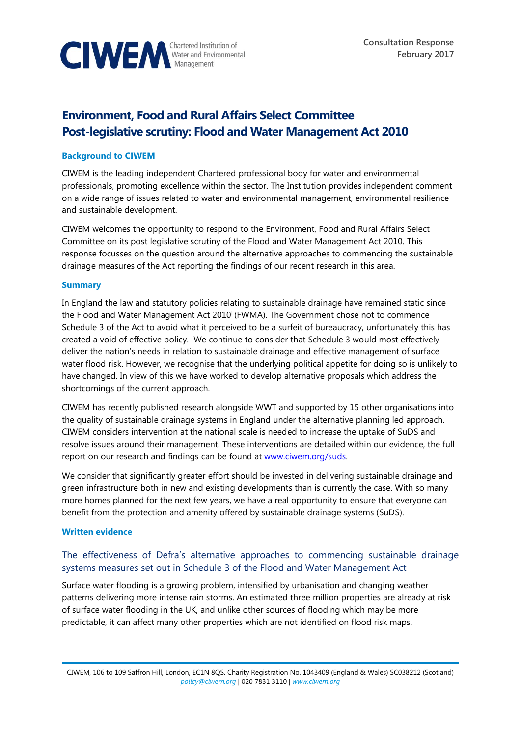

# **Environment, Food and Rural Affairs Select Committee Post-legislative scrutiny: Flood and Water Management Act 2010**

## **Background to CIWEM**

CIWEM is the leading independent Chartered professional body for water and environmental professionals, promoting excellence within the sector. The Institution provides independent comment on a wide range of issues related to water and environmental management, environmental resilience and sustainable development.

CIWEM welcomes the opportunity to respond to the Environment, Food and Rural Affairs Select Committee on its post legislative scrutiny of the Flood and Water Management Act 2010. This response focusses on the question around the alternative approaches to commencing the sustainable drainage measures of the Act reporting the findings of our recent research in this area.

### **Summary**

In England the law and statutory policies relating to sustainable drainage have remained static since the Flood and Water Management Act 2010<sup>†</sup> (FWMA). The Government chose not to commence Schedule 3 of the Act to avoid what it perceived to be a surfeit of bureaucracy, unfortunately this has created a void of effective policy. We continue to consider that Schedule 3 would most effectively deliver the nation's needs in relation to sustainable drainage and effective management of surface water flood risk. However, we recognise that the underlying political appetite for doing so is unlikely to have changed. In view of this we have worked to develop alternative proposals which address the shortcomings of the current approach.

CIWEM has recently published research alongside WWT and supported by 15 other organisations into the quality of sustainable drainage systems in England under the alternative planning led approach. CIWEM considers intervention at the national scale is needed to increase the uptake of SuDS and resolve issues around their management. These interventions are detailed within our evidence, the full report on our research and findings can be found at [www.ciwem.org/suds.](http://www.ciwem.org/suds) 

We consider that significantly greater effort should be invested in delivering sustainable drainage and green infrastructure both in new and existing developments than is currently the case. With so many more homes planned for the next few years, we have a real opportunity to ensure that everyone can benefit from the protection and amenity offered by sustainable drainage systems (SuDS).

#### **Written evidence**

# The effectiveness of Defra's alternative approaches to commencing sustainable drainage systems measures set out in Schedule 3 of the Flood and Water Management Act

Surface water flooding is a growing problem, intensified by urbanisation and changing weather patterns delivering more intense rain storms. An estimated three million properties are already at risk of surface water flooding in the UK, and unlike other sources of flooding which may be more predictable, it can affect many other properties which are not identified on flood risk maps.

CIWEM, 106 to 109 Saffron Hill, London, EC1N 8QS. Charity Registration No. 1043409 (England & Wales) SC038212 (Scotland) *[policy@ciwem.org](mailto:policy@ciwem.org)* | 020 7831 3110 | *[www.ciwem.org](http://www.ciwem.org/)*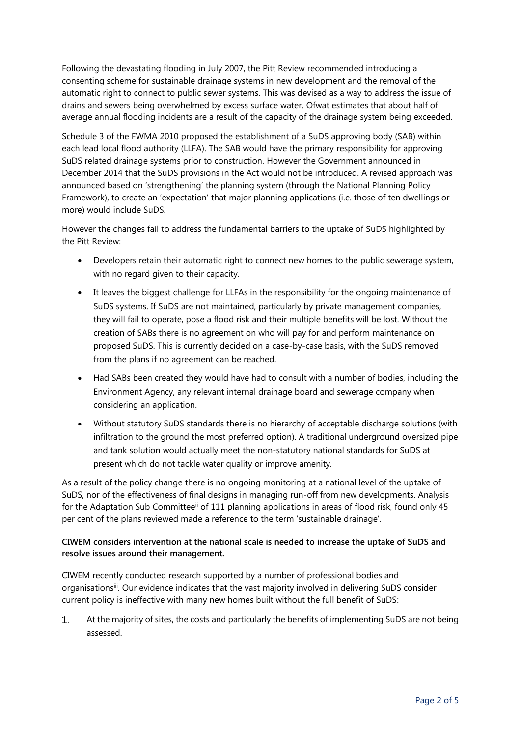Following the devastating flooding in July 2007, the Pitt Review recommended introducing a consenting scheme for sustainable drainage systems in new development and the removal of the automatic right to connect to public sewer systems. This was devised as a way to address the issue of drains and sewers being overwhelmed by excess surface water. Ofwat estimates that about half of average annual flooding incidents are a result of the capacity of the drainage system being exceeded.

Schedule 3 of the FWMA 2010 proposed the establishment of a SuDS approving body (SAB) within each lead local flood authority (LLFA). The SAB would have the primary responsibility for approving SuDS related drainage systems prior to construction. However the Government announced in December 2014 that the SuDS provisions in the Act would not be introduced. A revised approach was announced based on 'strengthening' the planning system (through the National Planning Policy Framework), to create an 'expectation' that major planning applications (i.e. those of ten dwellings or more) would include SuDS.

However the changes fail to address the fundamental barriers to the uptake of SuDS highlighted by the Pitt Review:

- Developers retain their automatic right to connect new homes to the public sewerage system, with no regard given to their capacity.
- It leaves the biggest challenge for LLFAs in the responsibility for the ongoing maintenance of SuDS systems. If SuDS are not maintained, particularly by private management companies, they will fail to operate, pose a flood risk and their multiple benefits will be lost. Without the creation of SABs there is no agreement on who will pay for and perform maintenance on proposed SuDS. This is currently decided on a case-by-case basis, with the SuDS removed from the plans if no agreement can be reached.
- Had SABs been created they would have had to consult with a number of bodies, including the Environment Agency, any relevant internal drainage board and sewerage company when considering an application.
- Without statutory SuDS standards there is no hierarchy of acceptable discharge solutions (with infiltration to the ground the most preferred option). A traditional underground oversized pipe and tank solution would actually meet the non-statutory national standards for SuDS at present which do not tackle water quality or improve amenity.

As a result of the policy change there is no ongoing monitoring at a national level of the uptake of SuDS, nor of the effectiveness of final designs in managing run-off from new developments. Analysis for the Adaptation Sub Committee<sup>ii</sup> of 111 planning applications in areas of flood risk, found only 45 per cent of the plans reviewed made a reference to the term 'sustainable drainage'.

# **CIWEM considers intervention at the national scale is needed to increase the uptake of SuDS and resolve issues around their management.**

CIWEM recently conducted research supported by a number of professional bodies and organisations<sup>ii</sup>. Our evidence indicates that the vast majority involved in delivering SuDS consider current policy is ineffective with many new homes built without the full benefit of SuDS:

At the majority of sites, the costs and particularly the benefits of implementing SuDS are not being  $1$ assessed.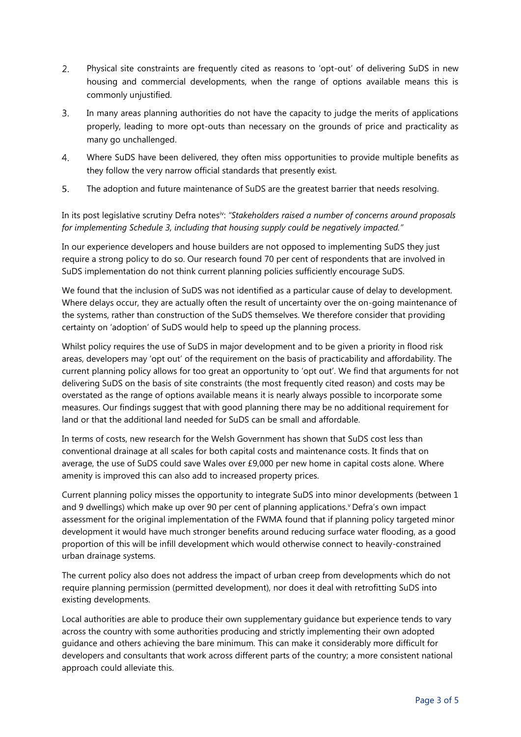- $2.$ Physical site constraints are frequently cited as reasons to 'opt-out' of delivering SuDS in new housing and commercial developments, when the range of options available means this is commonly unjustified.
- $\overline{3}$ . In many areas planning authorities do not have the capacity to judge the merits of applications properly, leading to more opt-outs than necessary on the grounds of price and practicality as many go unchallenged.
- $4.$ Where SuDS have been delivered, they often miss opportunities to provide multiple benefits as they follow the very narrow official standards that presently exist.
- 5. The adoption and future maintenance of SuDS are the greatest barrier that needs resolving.

In its post legislative scrutiny Defra notes<sup>iv</sup>: "Stakeholders raised a number of concerns around proposals *for implementing Schedule 3, including that housing supply could be negatively impacted."*

In our experience developers and house builders are not opposed to implementing SuDS they just require a strong policy to do so. Our research found 70 per cent of respondents that are involved in SuDS implementation do not think current planning policies sufficiently encourage SuDS.

We found that the inclusion of SuDS was not identified as a particular cause of delay to development. Where delays occur, they are actually often the result of uncertainty over the on-going maintenance of the systems, rather than construction of the SuDS themselves. We therefore consider that providing certainty on 'adoption' of SuDS would help to speed up the planning process.

Whilst policy requires the use of SuDS in major development and to be given a priority in flood risk areas, developers may 'opt out' of the requirement on the basis of practicability and affordability. The current planning policy allows for too great an opportunity to 'opt out'. We find that arguments for not delivering SuDS on the basis of site constraints (the most frequently cited reason) and costs may be overstated as the range of options available means it is nearly always possible to incorporate some measures. Our findings suggest that with good planning there may be no additional requirement for land or that the additional land needed for SuDS can be small and affordable.

In terms of costs, new research for the Welsh Government has shown that SuDS cost less than conventional drainage at all scales for both capital costs and maintenance costs. It finds that on average, the use of SuDS could save Wales over £9,000 per new home in capital costs alone. Where amenity is improved this can also add to increased property prices.

Current planning policy misses the opportunity to integrate SuDS into minor developments (between 1 and 9 dwellings) which make up over 90 per cent of planning applications.<sup>v</sup> Defra's own impact assessment for the original implementation of the FWMA found that if planning policy targeted minor development it would have much stronger benefits around reducing surface water flooding, as a good proportion of this will be infill development which would otherwise connect to heavily-constrained urban drainage systems.

The current policy also does not address the impact of urban creep from developments which do not require planning permission (permitted development), nor does it deal with retrofitting SuDS into existing developments.

Local authorities are able to produce their own supplementary guidance but experience tends to vary across the country with some authorities producing and strictly implementing their own adopted guidance and others achieving the bare minimum. This can make it considerably more difficult for developers and consultants that work across different parts of the country; a more consistent national approach could alleviate this.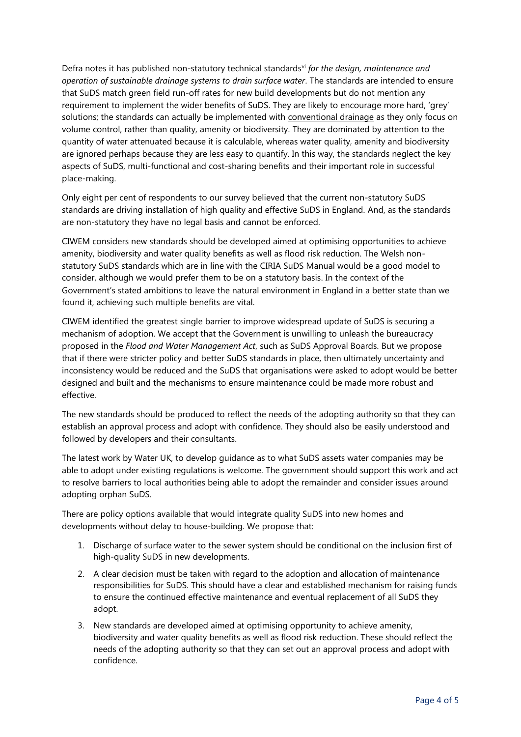Defra notes it has published non-statutory technical standards<sup>vi</sup> for the design, maintenance and *operation of sustainable drainage systems to drain surface water*. The standards are intended to ensure that SuDS match green field run-off rates for new build developments but do not mention any requirement to implement the wider benefits of SuDS. They are likely to encourage more hard, 'grey' solutions; the standards can actually be implemented with conventional drainage as they only focus on volume control, rather than quality, amenity or biodiversity. They are dominated by attention to the quantity of water attenuated because it is calculable, whereas water quality, amenity and biodiversity are ignored perhaps because they are less easy to quantify. In this way, the standards neglect the key aspects of SuDS, multi-functional and cost-sharing benefits and their important role in successful place-making.

Only eight per cent of respondents to our survey believed that the current non-statutory SuDS standards are driving installation of high quality and effective SuDS in England. And, as the standards are non-statutory they have no legal basis and cannot be enforced.

CIWEM considers new standards should be developed aimed at optimising opportunities to achieve amenity, biodiversity and water quality benefits as well as flood risk reduction. The Welsh nonstatutory SuDS standards which are in line with the CIRIA SuDS Manual would be a good model to consider, although we would prefer them to be on a statutory basis. In the context of the Government's stated ambitions to leave the natural environment in England in a better state than we found it, achieving such multiple benefits are vital.

CIWEM identified the greatest single barrier to improve widespread update of SuDS is securing a mechanism of adoption. We accept that the Government is unwilling to unleash the bureaucracy proposed in the *Flood and Water Management Act*, such as SuDS Approval Boards. But we propose that if there were stricter policy and better SuDS standards in place, then ultimately uncertainty and inconsistency would be reduced and the SuDS that organisations were asked to adopt would be better designed and built and the mechanisms to ensure maintenance could be made more robust and effective.

The new standards should be produced to reflect the needs of the adopting authority so that they can establish an approval process and adopt with confidence. They should also be easily understood and followed by developers and their consultants.

The latest work by Water UK, to develop guidance as to what SuDS assets water companies may be able to adopt under existing regulations is welcome. The government should support this work and act to resolve barriers to local authorities being able to adopt the remainder and consider issues around adopting orphan SuDS.

There are policy options available that would integrate quality SuDS into new homes and developments without delay to house-building. We propose that:

- 1. Discharge of surface water to the sewer system should be conditional on the inclusion first of high-quality SuDS in new developments.
- 2. A clear decision must be taken with regard to the adoption and allocation of maintenance responsibilities for SuDS. This should have a clear and established mechanism for raising funds to ensure the continued effective maintenance and eventual replacement of all SuDS they adopt.
- 3. New standards are developed aimed at optimising opportunity to achieve amenity, biodiversity and water quality benefits as well as flood risk reduction. These should reflect the needs of the adopting authority so that they can set out an approval process and adopt with confidence.